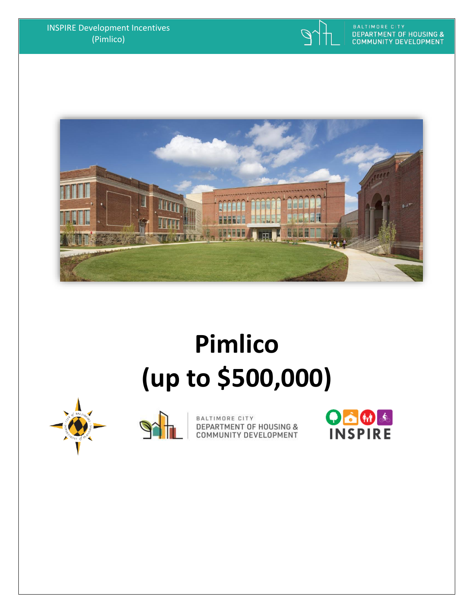



# **Pimlico (up to \$500,000)**





BALTIMORE CITY DEPARTMENT OF HOUSING &<br>COMMUNITY DEVELOPMENT

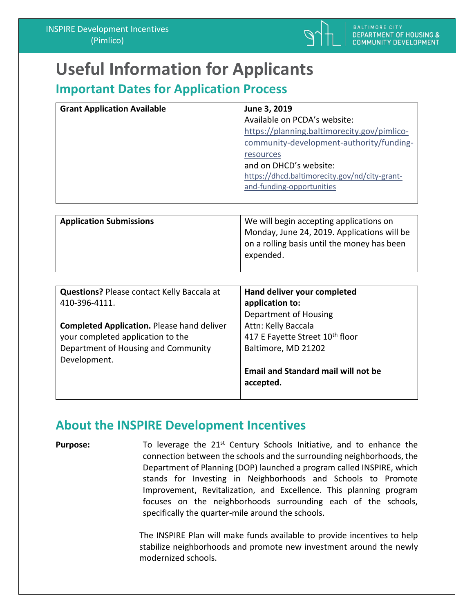

on a rolling basis until the money has been

## **Useful Information for Applicants**

## **Important Dates for Application Process**

| <b>Grant Application Available</b> | June 3, 2019                                                                                                                                                                                                                                 |
|------------------------------------|----------------------------------------------------------------------------------------------------------------------------------------------------------------------------------------------------------------------------------------------|
|                                    | Available on PCDA's website:<br>https://planning.baltimorecity.gov/pimlico-<br>community-development-authority/funding-<br>resources<br>and on DHCD's website:<br>https://dhcd.baltimorecity.gov/nd/city-grant-<br>and-funding-opportunities |
|                                    |                                                                                                                                                                                                                                              |
| <b>Application Submissions</b>     | We will begin accepting applications on                                                                                                                                                                                                      |
|                                    | Monday, June 24, 2019. Applications will be                                                                                                                                                                                                  |

expended.

| <b>Questions? Please contact Kelly Baccala at</b> | Hand deliver your completed                 |
|---------------------------------------------------|---------------------------------------------|
| 410-396-4111.                                     | application to:                             |
|                                                   | Department of Housing                       |
| <b>Completed Application. Please hand deliver</b> | Attn: Kelly Baccala                         |
| your completed application to the                 | 417 E Fayette Street 10 <sup>th</sup> floor |
| Department of Housing and Community               | Baltimore, MD 21202                         |
| Development.                                      |                                             |
|                                                   | <b>Email and Standard mail will not be</b>  |
|                                                   | accepted.                                   |
|                                                   |                                             |

### **About the INSPIRE Development Incentives**

**Purpose:** To leverage the 21<sup>st</sup> Century Schools Initiative, and to enhance the connection between the schools and the surrounding neighborhoods, the Department of Planning (DOP) launched a program called INSPIRE, which stands for Investing in Neighborhoods and Schools to Promote Improvement, Revitalization, and Excellence. This planning program focuses on the neighborhoods surrounding each of the schools, specifically the quarter-mile around the schools.

> The INSPIRE Plan will make funds available to provide incentives to help stabilize neighborhoods and promote new investment around the newly modernized schools.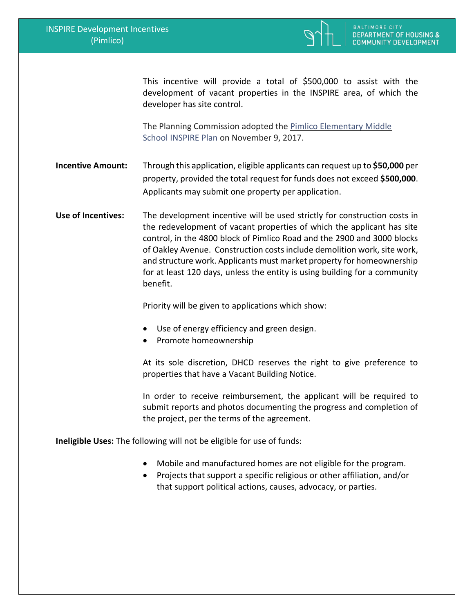

This incentive will provide a total of \$500,000 to assist with the development of vacant properties in the INSPIRE area, of which the developer has site control.

The Planning Commission adopted the [Pimlico Elementary Middle](https://planning.baltimorecity.gov/inspire-plans/pimlico-elementary-middle-school)  [School INSPIRE Plan](https://planning.baltimorecity.gov/inspire-plans/pimlico-elementary-middle-school) on November 9, 2017.

**Incentive Amount:** Through this application, eligible applicants can request up to **\$50,000** per property, provided the total request for funds does not exceed **\$500,000**. Applicants may submit one property per application.

**Use of Incentives:** The development incentive will be used strictly for construction costs in the redevelopment of vacant properties of which the applicant has site control, in the 4800 block of Pimlico Road and the 2900 and 3000 blocks of Oakley Avenue. Construction costs include demolition work, site work, and structure work. Applicants must market property for homeownership for at least 120 days, unless the entity is using building for a community benefit.

Priority will be given to applications which show:

- Use of energy efficiency and green design.
- Promote homeownership

At its sole discretion, DHCD reserves the right to give preference to properties that have a Vacant Building Notice.

In order to receive reimbursement, the applicant will be required to submit reports and photos documenting the progress and completion of the project, per the terms of the agreement.

**Ineligible Uses:** The following will not be eligible for use of funds:

- Mobile and manufactured homes are not eligible for the program.
- Projects that support a specific religious or other affiliation, and/or that support political actions, causes, advocacy, or parties.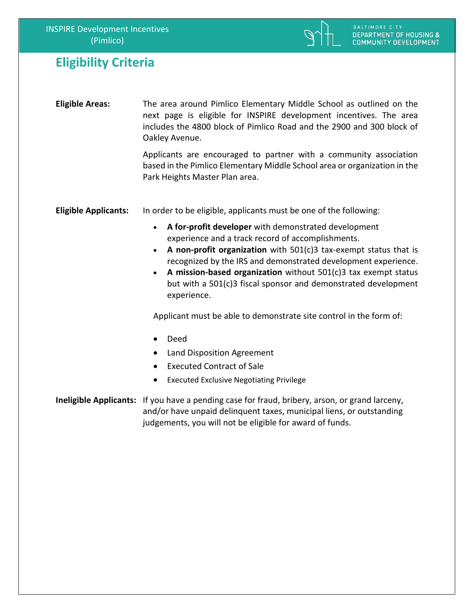

#### **Eligibility Criteria**

**Eligible Areas:** The area around Pimlico Elementary Middle School as outlined on the next page is eligible for INSPIRE development incentives. The area includes the 4800 block of Pimlico Road and the 2900 and 300 block of Oakley Avenue.

> Applicants are encouraged to partner with a community association based in the Pimlico Elementary Middle School area or organization in the Park Heights Master Plan area.

**Eligible Applicants:** In order to be eligible, applicants must be one of the following:

- **A for-profit developer** with demonstrated development experience and a track record of accomplishments.
- **A non-profit organization** with 501(c)3 tax-exempt status that is recognized by the IRS and demonstrated development experience.
- **A mission-based organization** without 501(c)3 tax exempt status but with a 501(c)3 fiscal sponsor and demonstrated development experience.

Applicant must be able to demonstrate site control in the form of:

- Deed
- Land Disposition Agreement
- **Executed Contract of Sale**
- Executed Exclusive Negotiating Privilege

**Ineligible Applicants:** If you have a pending case for fraud, bribery, arson, or grand larceny, and/or have unpaid delinquent taxes, municipal liens, or outstanding judgements, you will not be eligible for award of funds.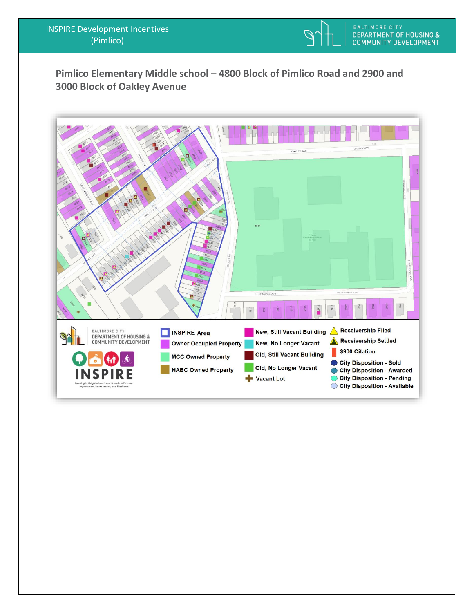

**Pimlico Elementary Middle school – 4800 Block of Pimlico Road and 2900 and 3000 Block of Oakley Avenue**

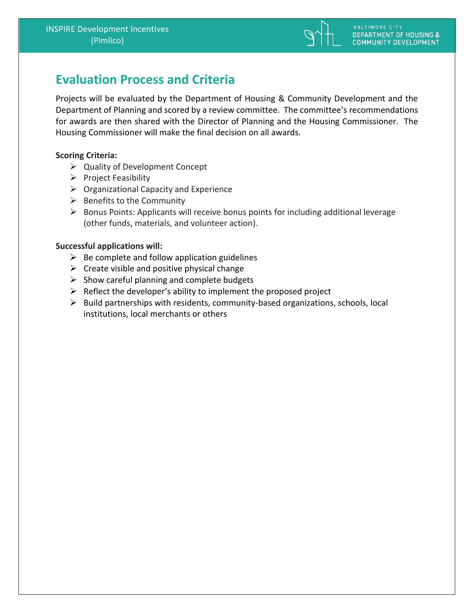

## **Evaluation Process and Criteria**

Projects will be evaluated by the Department of Housing & Community Development and the Department of Planning and scored by a review committee. The committee's recommendations for awards are then shared with the Director of Planning and the Housing Commissioner. The Housing Commissioner will make the final decision on all awards.

#### **Scoring Criteria:**

- ➢ Quality of Development Concept
- ➢ Project Feasibility
- $\triangleright$  Organizational Capacity and Experience
- $\triangleright$  Benefits to the Community
- ➢ Bonus Points: Applicants will receive bonus points for including additional leverage (other funds, materials, and volunteer action).

#### **Successful applications will:**

- $\triangleright$  Be complete and follow application guidelines
- $\triangleright$  Create visible and positive physical change
- $\triangleright$  Show careful planning and complete budgets
- $\triangleright$  Reflect the developer's ability to implement the proposed project
- ➢ Build partnerships with residents, community-based organizations, schools, local institutions, local merchants or others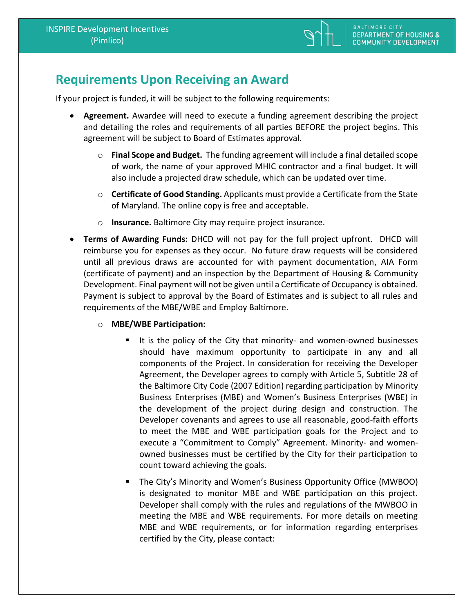

### **Requirements Upon Receiving an Award**

If your project is funded, it will be subject to the following requirements:

- **Agreement.** Awardee will need to execute a funding agreement describing the project and detailing the roles and requirements of all parties BEFORE the project begins. This agreement will be subject to Board of Estimates approval.
	- o **Final Scope and Budget.** The funding agreement will include a final detailed scope of work, the name of your approved MHIC contractor and a final budget. It will also include a projected draw schedule, which can be updated over time.
	- o **Certificate of Good Standing.** Applicants must provide a Certificate from the State of Maryland. The online copy is free and acceptable.
	- o **Insurance.** Baltimore City may require project insurance.
- **Terms of Awarding Funds:** DHCD will not pay for the full project upfront. DHCD will reimburse you for expenses as they occur. No future draw requests will be considered until all previous draws are accounted for with payment documentation, AIA Form (certificate of payment) and an inspection by the Department of Housing & Community Development. Final payment will not be given until a Certificate of Occupancy is obtained. Payment is subject to approval by the Board of Estimates and is subject to all rules and requirements of the MBE/WBE and Employ Baltimore.
	- o **MBE/WBE Participation:** 
		- It is the policy of the City that minority- and women-owned businesses should have maximum opportunity to participate in any and all components of the Project. In consideration for receiving the Developer Agreement, the Developer agrees to comply with Article 5, Subtitle 28 of the Baltimore City Code (2007 Edition) regarding participation by Minority Business Enterprises (MBE) and Women's Business Enterprises (WBE) in the development of the project during design and construction. The Developer covenants and agrees to use all reasonable, good-faith efforts to meet the MBE and WBE participation goals for the Project and to execute a "Commitment to Comply" Agreement. Minority- and womenowned businesses must be certified by the City for their participation to count toward achieving the goals.
		- The City's Minority and Women's Business Opportunity Office (MWBOO) is designated to monitor MBE and WBE participation on this project. Developer shall comply with the rules and regulations of the MWBOO in meeting the MBE and WBE requirements. For more details on meeting MBE and WBE requirements, or for information regarding enterprises certified by the City, please contact: